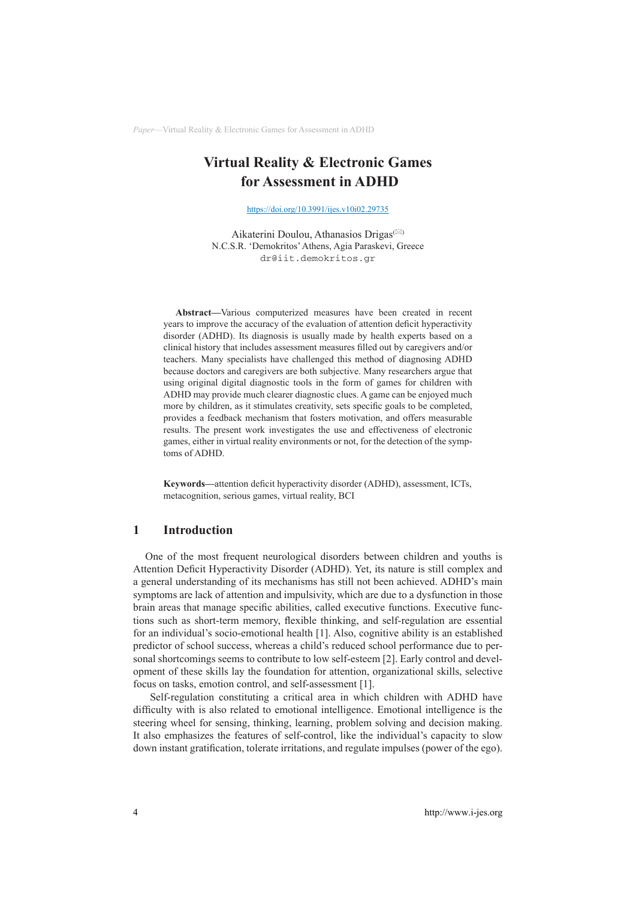# **Virtual Reality & Electronic Games for Assessment in ADHD**

<https://doi.org/10.3991/ijes.v10i02.29735>

Aikaterini Doulou, Athanasios Drigas<sup>( $\boxtimes$ )</sup> N.C.S.R. 'Demokritos' Athens, Agia Paraskevi, Greece [dr@iit.demokritos.gr](mailto:dr@iit.demokritos.gr)

**Abstract—**Various computerized measures have been created in recent years to improve the accuracy of the evaluation of attention deficit hyperactivity disorder (ADHD). Its diagnosis is usually made by health experts based on a clinical history that includes assessment measures filled out by caregivers and/or teachers. Many specialists have challenged this method of diagnosing ADHD because doctors and caregivers are both subjective. Many researchers argue that using original digital diagnostic tools in the form of games for children with ADHD may provide much clearer diagnostic clues. A game can be enjoyed much more by children, as it stimulates creativity, sets specific goals to be completed, provides a feedback mechanism that fosters motivation, and offers measurable results. The present work investigates the use and effectiveness of electronic games, either in virtual reality environments or not, for the detection of the symptoms of ADHD.

**Keywords—**attention deficit hyperactivity disorder (ADHD), assessment, ICTs, metacognition, serious games, virtual reality, BCI

### **1 Introduction**

One of the most frequent neurological disorders between children and youths is Attention Deficit Hyperactivity Disorder (ADHD). Yet, its nature is still complex and a general understanding of its mechanisms has still not been achieved. ADHD's main symptoms are lack of attention and impulsivity, which are due to a dysfunction in those brain areas that manage specific abilities, called executive functions. Executive functions such as short-term memory, flexible thinking, and self-regulation are essential for an individual's socio-emotional health [1]. Also, cognitive ability is an established predictor of school success, whereas a child's reduced school performance due to personal shortcomings seems to contribute to low self-esteem [2]. Early control and development of these skills lay the foundation for attention, organizational skills, selective focus on tasks, emotion control, and self-assessment [1].

 Self-regulation constituting a critical area in which children with ADHD have difficulty with is also related to emotional intelligence. Emotional intelligence is the steering wheel for sensing, thinking, learning, problem solving and decision making. It also emphasizes the features of self-control, like the individual's capacity to slow down instant gratification, tolerate irritations, and regulate impulses (power of the ego).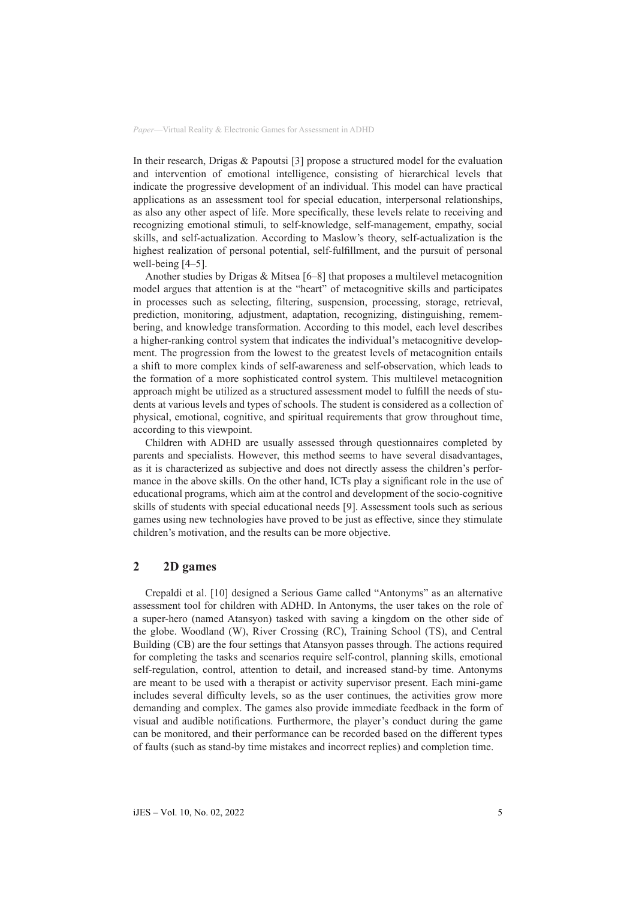In their research, Drigas & Papoutsi [3] propose a structured model for the evaluation and intervention of emotional intelligence, consisting of hierarchical levels that indicate the progressive development of an individual. This model can have practical applications as an assessment tool for special education, interpersonal relationships, as also any other aspect of life. More specifically, these levels relate to receiving and recognizing emotional stimuli, to self-knowledge, self-management, empathy, social skills, and self-actualization. According to Maslow's theory, self-actualization is the highest realization of personal potential, self-fulfillment, and the pursuit of personal well-being [4–5].

Another studies by Drigas & Mitsea [6–8] that proposes a multilevel metacognition model argues that attention is at the "heart" of metacognitive skills and participates in processes such as selecting, filtering, suspension, processing, storage, retrieval, prediction, monitoring, adjustment, adaptation, recognizing, distinguishing, remembering, and knowledge transformation. According to this model, each level describes a higher-ranking control system that indicates the individual's metacognitive development. The progression from the lowest to the greatest levels of metacognition entails a shift to more complex kinds of self-awareness and self-observation, which leads to the formation of a more sophisticated control system. This multilevel metacognition approach might be utilized as a structured assessment model to fulfill the needs of students at various levels and types of schools. The student is considered as a collection of physical, emotional, cognitive, and spiritual requirements that grow throughout time, according to this viewpoint.

Children with ADHD are usually assessed through questionnaires completed by parents and specialists. However, this method seems to have several disadvantages, as it is characterized as subjective and does not directly assess the children's performance in the above skills. On the other hand, ICTs play a significant role in the use of educational programs, which aim at the control and development of the socio-cognitive skills of students with special educational needs [9]. Assessment tools such as serious games using new technologies have proved to be just as effective, since they stimulate children's motivation, and the results can be more objective.

### **2 2D games**

Crepaldi et al. [10] designed a Serious Game called "Antonyms" as an alternative assessment tool for children with ADHD. In Antonyms, the user takes on the role of a super-hero (named Atansyon) tasked with saving a kingdom on the other side of the globe. Woodland (W), River Crossing (RC), Training School (TS), and Central Building (CB) are the four settings that Atansyon passes through. The actions required for completing the tasks and scenarios require self-control, planning skills, emotional self-regulation, control, attention to detail, and increased stand-by time. Antonyms are meant to be used with a therapist or activity supervisor present. Each mini-game includes several difficulty levels, so as the user continues, the activities grow more demanding and complex. The games also provide immediate feedback in the form of visual and audible notifications. Furthermore, the player's conduct during the game can be monitored, and their performance can be recorded based on the different types of faults (such as stand-by time mistakes and incorrect replies) and completion time.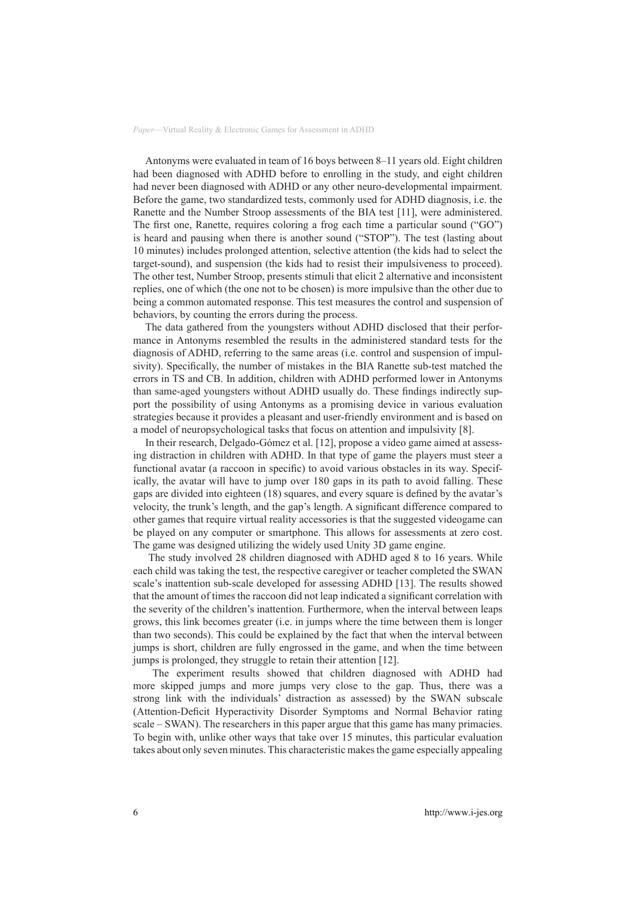Antonyms were evaluated in team of 16 boys between 8–11 years old. Eight children had been diagnosed with ADHD before to enrolling in the study, and eight children had never been diagnosed with ADHD or any other neuro-developmental impairment. Before the game, two standardized tests, commonly used for ADHD diagnosis, i.e. the Ranette and the Number Stroop assessments of the BIA test [11], were administered. The first one, Ranette, requires coloring a frog each time a particular sound ("GO") is heard and pausing when there is another sound ("STOP"). The test (lasting about 10 minutes) includes prolonged attention, selective attention (the kids had to select the target-sound), and suspension (the kids had to resist their impulsiveness to proceed). The other test, Number Stroop, presents stimuli that elicit 2 alternative and inconsistent replies, one of which (the one not to be chosen) is more impulsive than the other due to being a common automated response. This test measures the control and suspension of behaviors, by counting the errors during the process.

The data gathered from the youngsters without ADHD disclosed that their performance in Antonyms resembled the results in the administered standard tests for the diagnosis of ADHD, referring to the same areas (i.e. control and suspension of impulsivity). Specifically, the number of mistakes in the BIA Ranette sub-test matched the errors in TS and CB. In addition, children with ADHD performed lower in Antonyms than same-aged youngsters without ADHD usually do. These findings indirectly support the possibility of using Antonyms as a promising device in various evaluation strategies because it provides a pleasant and user-friendly environment and is based on a model of neuropsychological tasks that focus on attention and impulsivity [8].

In their research, Delgado-Gómez et al. [12], propose a video game aimed at assessing distraction in children with ADHD. In that type of game the players must steer a functional avatar (a raccoon in specific) to avoid various obstacles in its way. Specifically, the avatar will have to jump over 180 gaps in its path to avoid falling. These gaps are divided into eighteen (18) squares, and every square is defined by the avatar's velocity, the trunk's length, and the gap's length. A significant difference compared to other games that require virtual reality accessories is that the suggested videogame can be played on any computer or smartphone. This allows for assessments at zero cost. The game was designed utilizing the widely used Unity 3D game engine.

 The study involved 28 children diagnosed with ADHD aged 8 to 16 years. While each child was taking the test, the respective caregiver or teacher completed the SWAN scale's inattention sub-scale developed for assessing ADHD [13]. The results showed that the amount of times the raccoon did not leap indicated a significant correlation with the severity of the children's inattention. Furthermore, when the interval between leaps grows, this link becomes greater (i.e. in jumps where the time between them is longer than two seconds). This could be explained by the fact that when the interval between jumps is short, children are fully engrossed in the game, and when the time between jumps is prolonged, they struggle to retain their attention [12].

 The experiment results showed that children diagnosed with ADHD had more skipped jumps and more jumps very close to the gap. Thus, there was a strong link with the individuals' distraction as assessed) by the SWAN subscale (Attention-Deficit Hyperactivity Disorder Symptoms and Normal Behavior rating scale – SWAN). The researchers in this paper argue that this game has many primacies. To begin with, unlike other ways that take over 15 minutes, this particular evaluation takes about only seven minutes. This characteristic makes the game especially appealing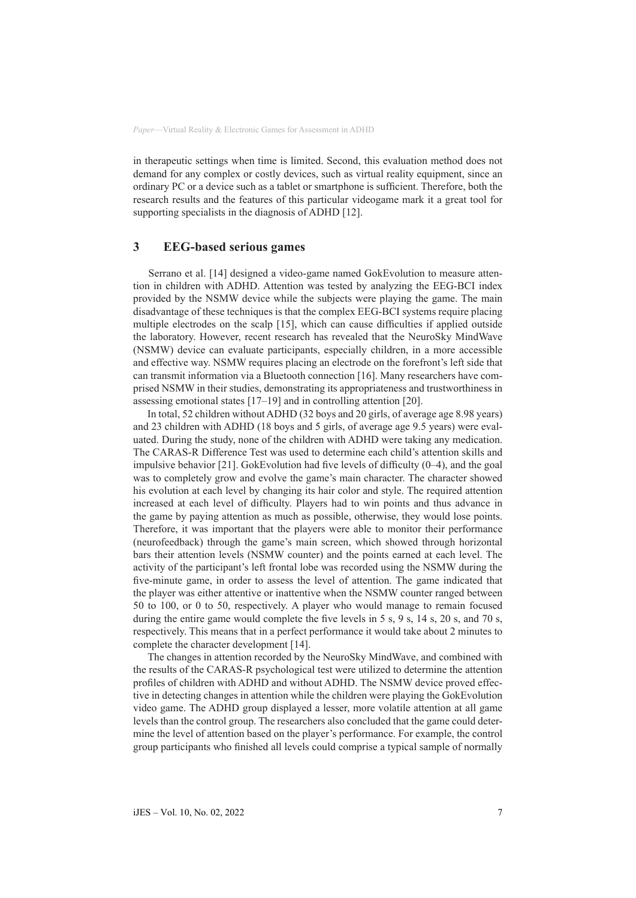in therapeutic settings when time is limited. Second, this evaluation method does not demand for any complex or costly devices, such as virtual reality equipment, since an ordinary PC or a device such as a tablet or smartphone is sufficient. Therefore, both the research results and the features of this particular videogame mark it a great tool for supporting specialists in the diagnosis of ADHD [12].

### **3 EEG-based serious games**

 Serrano et al. [14] designed a video-game named GokEvolution to measure attention in children with ADHD. Attention was tested by analyzing the EEG-BCI index provided by the NSMW device while the subjects were playing the game. The main disadvantage of these techniques is that the complex EEG-BCI systems require placing multiple electrodes on the scalp [15], which can cause difficulties if applied outside the laboratory. However, recent research has revealed that the NeuroSky MindWave (NSMW) device can evaluate participants, especially children, in a more accessible and effective way. NSMW requires placing an electrode on the forefront's left side that can transmit information via a Bluetooth connection [16]. Many researchers have comprised NSMW in their studies, demonstrating its appropriateness and trustworthiness in assessing emotional states [17–19] and in controlling attention [20].

 In total, 52 children without ADHD (32 boys and 20 girls, of average age 8.98 years) and 23 children with ADHD (18 boys and 5 girls, of average age 9.5 years) were evaluated. During the study, none of the children with ADHD were taking any medication. The CARAS-R Difference Test was used to determine each child's attention skills and impulsive behavior [21]. GokEvolution had five levels of difficulty (0–4), and the goal was to completely grow and evolve the game's main character. The character showed his evolution at each level by changing its hair color and style. The required attention increased at each level of difficulty. Players had to win points and thus advance in the game by paying attention as much as possible, otherwise, they would lose points. Therefore, it was important that the players were able to monitor their performance (neurofeedback) through the game's main screen, which showed through horizontal bars their attention levels (NSMW counter) and the points earned at each level. The activity of the participant's left frontal lobe was recorded using the NSMW during the five-minute game, in order to assess the level of attention. The game indicated that the player was either attentive or inattentive when the NSMW counter ranged between 50 to 100, or 0 to 50, respectively. A player who would manage to remain focused during the entire game would complete the five levels in 5 s, 9 s, 14 s, 20 s, and 70 s, respectively. This means that in a perfect performance it would take about 2 minutes to complete the character development [14].

 The changes in attention recorded by the NeuroSky MindWave, and combined with the results of the CARAS-R psychological test were utilized to determine the attention profiles of children with ADHD and without ADHD. The NSMW device proved effective in detecting changes in attention while the children were playing the GokEvolution video game. The ADHD group displayed a lesser, more volatile attention at all game levels than the control group. The researchers also concluded that the game could determine the level of attention based on the player's performance. For example, the control group participants who finished all levels could comprise a typical sample of normally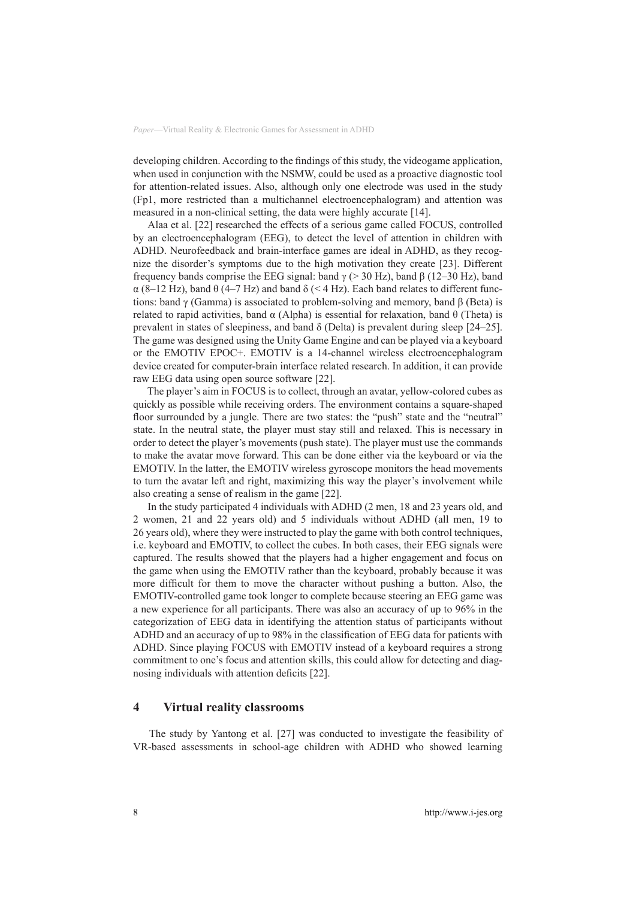developing children. According to the findings of this study, the videogame application, when used in conjunction with the NSMW, could be used as a proactive diagnostic tool for attention-related issues. Also, although only one electrode was used in the study (Fp1, more restricted than a multichannel electroencephalogram) and attention was measured in a non-clinical setting, the data were highly accurate [14].

 Alaa et al. [22] researched the effects of a serious game called FOCUS, controlled by an electroencephalogram (EEG), to detect the level of attention in children with ADHD. Neurofeedback and brain-interface games are ideal in ADHD, as they recognize the disorder's symptoms due to the high motivation they create [23]. Different frequency bands comprise the EEG signal: band γ (> 30 Hz), band β (12–30 Hz), band  $\alpha$  (8–12 Hz), band  $\theta$  (4–7 Hz) and band  $\delta$  (<4 Hz). Each band relates to different functions: band γ (Gamma) is associated to problem-solving and memory, band  $\beta$  (Beta) is related to rapid activities, band  $\alpha$  (Alpha) is essential for relaxation, band θ (Theta) is prevalent in states of sleepiness, and band  $\delta$  (Delta) is prevalent during sleep [24–25]. The game was designed using the Unity Game Engine and can be played via a keyboard or the EMOTIV EPOC+. EMOTIV is a 14-channel wireless electroencephalogram device created for computer-brain interface related research. In addition, it can provide raw EEG data using open source software [22].

 The player's aim in FOCUS is to collect, through an avatar, yellow-colored cubes as quickly as possible while receiving orders. The environment contains a square-shaped floor surrounded by a jungle. There are two states: the "push" state and the "neutral" state. In the neutral state, the player must stay still and relaxed. This is necessary in order to detect the player's movements (push state). The player must use the commands to make the avatar move forward. This can be done either via the keyboard or via the EMOTIV. In the latter, the EMOTIV wireless gyroscope monitors the head movements to turn the avatar left and right, maximizing this way the player's involvement while also creating a sense of realism in the game [22].

 In the study participated 4 individuals with ADHD (2 men, 18 and 23 years old, and 2 women, 21 and 22 years old) and 5 individuals without ADHD (all men, 19 to 26 years old), where they were instructed to play the game with both control techniques, i.e. keyboard and EMOTIV, to collect the cubes. In both cases, their EEG signals were captured. The results showed that the players had a higher engagement and focus on the game when using the EMOTIV rather than the keyboard, probably because it was more difficult for them to move the character without pushing a button. Also, the EMOTIV-controlled game took longer to complete because steering an EEG game was a new experience for all participants. There was also an accuracy of up to 96% in the categorization of EEG data in identifying the attention status of participants without ADHD and an accuracy of up to 98% in the classification of EEG data for patients with ADHD. Since playing FOCUS with EMOTIV instead of a keyboard requires a strong commitment to one's focus and attention skills, this could allow for detecting and diagnosing individuals with attention deficits [22].

## **4 Virtual reality classrooms**

 The study by Yantong et al. [27] was conducted to investigate the feasibility of VR-based assessments in school-age children with ADHD who showed learning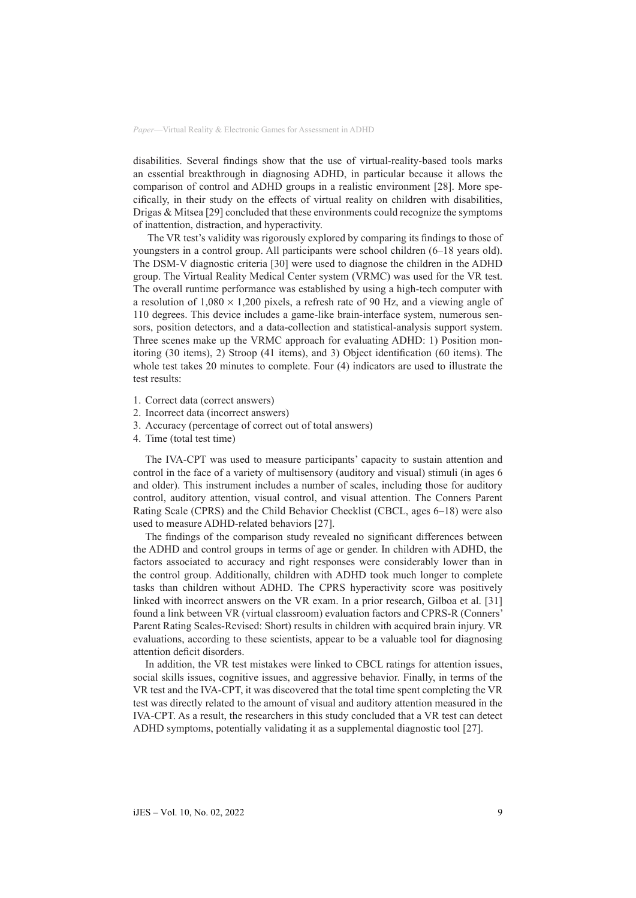disabilities. Several findings show that the use of virtual-reality-based tools marks an essential breakthrough in diagnosing ADHD, in particular because it allows the comparison of control and ADHD groups in a realistic environment [28]. More specifically, in their study on the effects of virtual reality on children with disabilities, Drigas  $\&$  Mitsea [29] concluded that these environments could recognize the symptoms of inattention, distraction, and hyperactivity.

 The VR test's validity was rigorously explored by comparing its findings to those of youngsters in a control group. All participants were school children (6–18 years old). The DSM-V diagnostic criteria [30] were used to diagnose the children in the ADHD group. The Virtual Reality Medical Center system (VRMC) was used for the VR test. The overall runtime performance was established by using a high-tech computer with a resolution of  $1,080 \times 1,200$  pixels, a refresh rate of 90 Hz, and a viewing angle of 110 degrees. This device includes a game-like brain-interface system, numerous sensors, position detectors, and a data-collection and statistical-analysis support system. Three scenes make up the VRMC approach for evaluating ADHD: 1) Position monitoring (30 items), 2) Stroop (41 items), and 3) Object identification (60 items). The whole test takes 20 minutes to complete. Four (4) indicators are used to illustrate the test results:

- 1. Correct data (correct answers)
- 2. Incorrect data (incorrect answers)
- 3. Accuracy (percentage of correct out of total answers)
- 4. Time (total test time)

The IVA-CPT was used to measure participants' capacity to sustain attention and control in the face of a variety of multisensory (auditory and visual) stimuli (in ages 6 and older). This instrument includes a number of scales, including those for auditory control, auditory attention, visual control, and visual attention. The Conners Parent Rating Scale (CPRS) and the Child Behavior Checklist (CBCL, ages 6–18) were also used to measure ADHD-related behaviors [27].

The findings of the comparison study revealed no significant differences between the ADHD and control groups in terms of age or gender. In children with ADHD, the factors associated to accuracy and right responses were considerably lower than in the control group. Additionally, children with ADHD took much longer to complete tasks than children without ADHD. The CPRS hyperactivity score was positively linked with incorrect answers on the VR exam. In a prior research, Gilboa et al. [31] found a link between VR (virtual classroom) evaluation factors and CPRS-R (Conners' Parent Rating Scales-Revised: Short) results in children with acquired brain injury. VR evaluations, according to these scientists, appear to be a valuable tool for diagnosing attention deficit disorders.

In addition, the VR test mistakes were linked to CBCL ratings for attention issues, social skills issues, cognitive issues, and aggressive behavior. Finally, in terms of the VR test and the IVA-CPT, it was discovered that the total time spent completing the VR test was directly related to the amount of visual and auditory attention measured in the IVA-CPT. As a result, the researchers in this study concluded that a VR test can detect ADHD symptoms, potentially validating it as a supplemental diagnostic tool [27].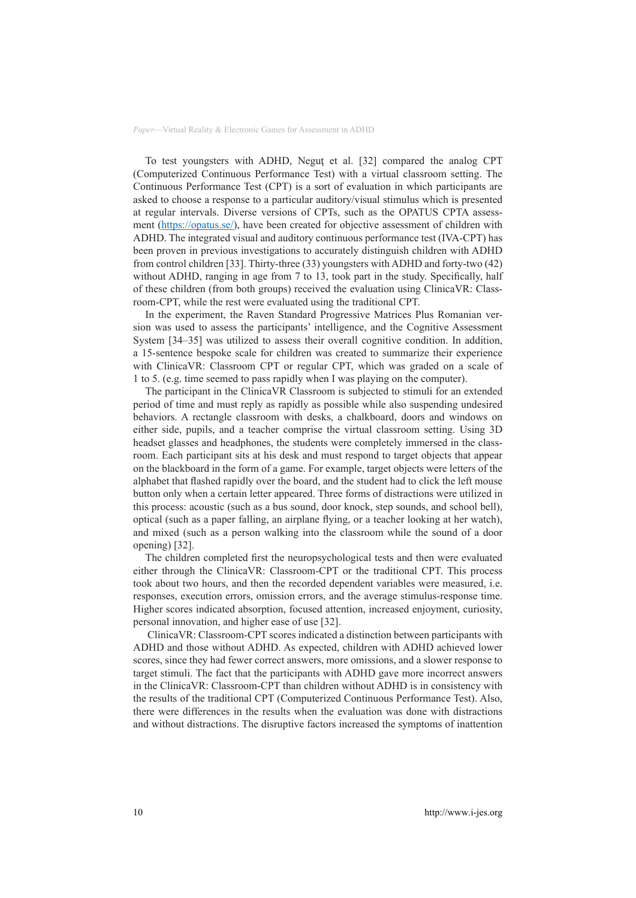To test youngsters with ADHD, Negut et al. [32] compared the analog CPT (Computerized Continuous Performance Test) with a virtual classroom setting. The Continuous Performance Test (CPT) is a sort of evaluation in which participants are asked to choose a response to a particular auditory/visual stimulus which is presented at regular intervals. Diverse versions of CPTs, such as the OPATUS CPTA assess-ment [\(https://opatus.se/\)](https://opatus.se/), have been created for objective assessment of children with ADHD. The integrated visual and auditory continuous performance test (IVA-CPT) has been proven in previous investigations to accurately distinguish children with ADHD from control children [33]. Thirty-three (33) youngsters with ADHD and forty-two (42) without ADHD, ranging in age from 7 to 13, took part in the study. Specifically, half of these children (from both groups) received the evaluation using ClinicaVR: Classroom-CPT, while the rest were evaluated using the traditional CPT.

In the experiment, the Raven Standard Progressive Matrices Plus Romanian version was used to assess the participants' intelligence, and the Cognitive Assessment System [34–35] was utilized to assess their overall cognitive condition. In addition, a 15-sentence bespoke scale for children was created to summarize their experience with ClinicaVR: Classroom CPT or regular CPT, which was graded on a scale of 1 to 5. (e.g. time seemed to pass rapidly when I was playing on the computer).

The participant in the ClinicaVR Classroom is subjected to stimuli for an extended period of time and must reply as rapidly as possible while also suspending undesired behaviors. A rectangle classroom with desks, a chalkboard, doors and windows on either side, pupils, and a teacher comprise the virtual classroom setting. Using 3D headset glasses and headphones, the students were completely immersed in the classroom. Each participant sits at his desk and must respond to target objects that appear on the blackboard in the form of a game. For example, target objects were letters of the alphabet that flashed rapidly over the board, and the student had to click the left mouse button only when a certain letter appeared. Three forms of distractions were utilized in this process: acoustic (such as a bus sound, door knock, step sounds, and school bell), optical (such as a paper falling, an airplane flying, or a teacher looking at her watch), and mixed (such as a person walking into the classroom while the sound of a door opening) [32].

The children completed first the neuropsychological tests and then were evaluated either through the ClinicaVR: Classroom-CPT or the traditional CPT. This process took about two hours, and then the recorded dependent variables were measured, i.e. responses, execution errors, omission errors, and the average stimulus-response time. Higher scores indicated absorption, focused attention, increased enjoyment, curiosity, personal innovation, and higher ease of use [32].

 ClinicaVR: Classroom-CPT scores indicated a distinction between participants with ADHD and those without ADHD. As expected, children with ADHD achieved lower scores, since they had fewer correct answers, more omissions, and a slower response to target stimuli. The fact that the participants with ADHD gave more incorrect answers in the ClinicaVR: Classroom-CPT than children without ADHD is in consistency with the results of the traditional CPT (Computerized Continuous Performance Test). Also, there were differences in the results when the evaluation was done with distractions and without distractions. The disruptive factors increased the symptoms of inattention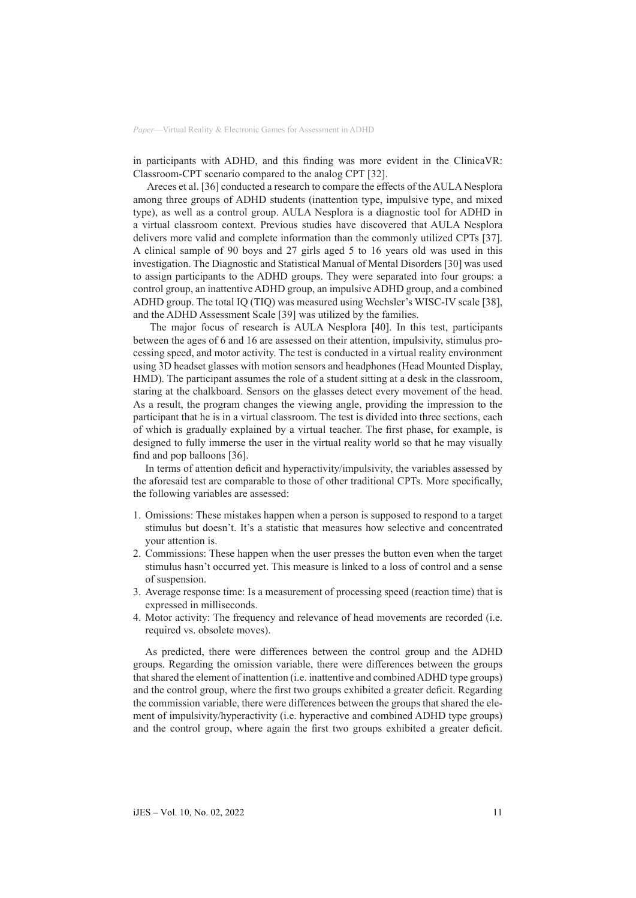in participants with ADHD, and this finding was more evident in the ClinicaVR: Classroom-CPT scenario compared to the analog CPT [32].

 Areces et al. [36] conducted a research to compare the effects of the AULA Nesplora among three groups of ADHD students (inattention type, impulsive type, and mixed type), as well as a control group. AULA Nesplora is a diagnostic tool for ADHD in a virtual classroom context. Previous studies have discovered that AULA Nesplora delivers more valid and complete information than the commonly utilized CPTs [37]. A clinical sample of 90 boys and 27 girls aged 5 to 16 years old was used in this investigation. The Diagnostic and Statistical Manual of Mental Disorders [30] was used to assign participants to the ADHD groups. They were separated into four groups: a control group, an inattentive ADHD group, an impulsive ADHD group, and a combined ADHD group. The total IQ (TIQ) was measured using Wechsler's WISC-IV scale [38], and the ADHD Assessment Scale [39] was utilized by the families.

 The major focus of research is AULA Nesplora [40]. In this test, participants between the ages of 6 and 16 are assessed on their attention, impulsivity, stimulus processing speed, and motor activity. The test is conducted in a virtual reality environment using 3D headset glasses with motion sensors and headphones (Head Mounted Display, HMD). The participant assumes the role of a student sitting at a desk in the classroom, staring at the chalkboard. Sensors on the glasses detect every movement of the head. As a result, the program changes the viewing angle, providing the impression to the participant that he is in a virtual classroom. The test is divided into three sections, each of which is gradually explained by a virtual teacher. The first phase, for example, is designed to fully immerse the user in the virtual reality world so that he may visually find and pop balloons [36].

In terms of attention deficit and hyperactivity/impulsivity, the variables assessed by the aforesaid test are comparable to those of other traditional CPTs. More specifically, the following variables are assessed:

- 1. Omissions: These mistakes happen when a person is supposed to respond to a target stimulus but doesn't. It's a statistic that measures how selective and concentrated your attention is.
- 2. Commissions: These happen when the user presses the button even when the target stimulus hasn't occurred yet. This measure is linked to a loss of control and a sense of suspension.
- 3. Average response time: Is a measurement of processing speed (reaction time) that is expressed in milliseconds.
- 4. Motor activity: The frequency and relevance of head movements are recorded (i.e. required vs. obsolete moves).

As predicted, there were differences between the control group and the ADHD groups. Regarding the omission variable, there were differences between the groups that shared the element of inattention (i.e. inattentive and combined ADHD type groups) and the control group, where the first two groups exhibited a greater deficit. Regarding the commission variable, there were differences between the groups that shared the element of impulsivity/hyperactivity (i.e. hyperactive and combined ADHD type groups) and the control group, where again the first two groups exhibited a greater deficit.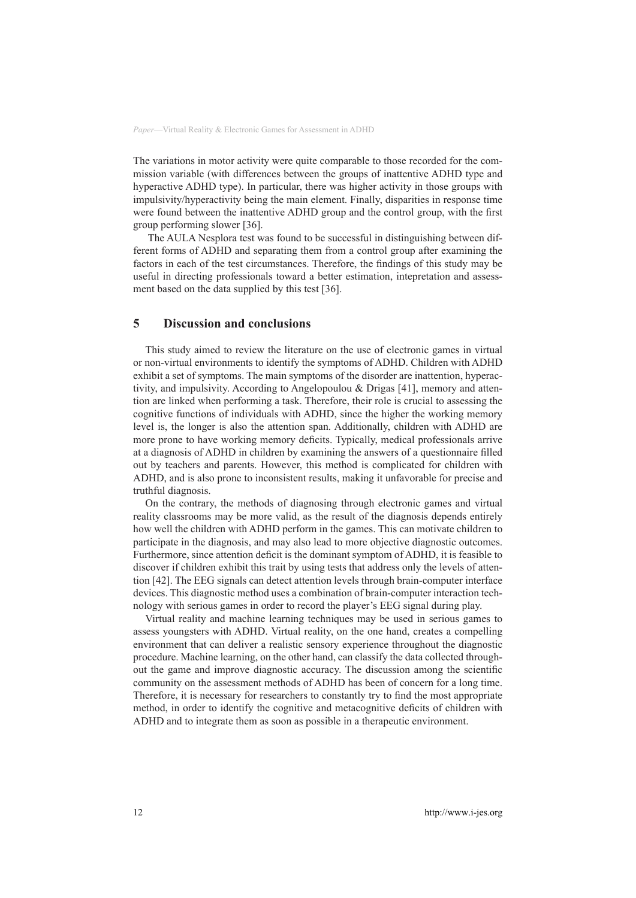The variations in motor activity were quite comparable to those recorded for the commission variable (with differences between the groups of inattentive ADHD type and hyperactive ADHD type). In particular, there was higher activity in those groups with impulsivity/hyperactivity being the main element. Finally, disparities in response time were found between the inattentive ADHD group and the control group, with the first group performing slower [36].

 The AULA Nesplora test was found to be successful in distinguishing between different forms of ADHD and separating them from a control group after examining the factors in each of the test circumstances. Therefore, the findings of this study may be useful in directing professionals toward a better estimation, intepretation and assessment based on the data supplied by this test [36].

### **5 Discussion and conclusions**

This study aimed to review the literature on the use of electronic games in virtual or non-virtual environments to identify the symptoms of ADHD. Children with ADHD exhibit a set of symptoms. The main symptoms of the disorder are inattention, hyperactivity, and impulsivity. According to Angelopoulou & Drigas [41], memory and attention are linked when performing a task. Therefore, their role is crucial to assessing the cognitive functions of individuals with ADHD, since the higher the working memory level is, the longer is also the attention span. Additionally, children with ADHD are more prone to have working memory deficits. Typically, medical professionals arrive at a diagnosis of ADHD in children by examining the answers of a questionnaire filled out by teachers and parents. However, this method is complicated for children with ADHD, and is also prone to inconsistent results, making it unfavorable for precise and truthful diagnosis.

On the contrary, the methods of diagnosing through electronic games and virtual reality classrooms may be more valid, as the result of the diagnosis depends entirely how well the children with ADHD perform in the games. This can motivate children to participate in the diagnosis, and may also lead to more objective diagnostic outcomes. Furthermore, since attention deficit is the dominant symptom of ADHD, it is feasible to discover if children exhibit this trait by using tests that address only the levels of attention [42]. The EEG signals can detect attention levels through brain-computer interface devices. This diagnostic method uses a combination of brain-computer interaction technology with serious games in order to record the player's EEG signal during play.

Virtual reality and machine learning techniques may be used in serious games to assess youngsters with ADHD. Virtual reality, on the one hand, creates a compelling environment that can deliver a realistic sensory experience throughout the diagnostic procedure. Machine learning, on the other hand, can classify the data collected throughout the game and improve diagnostic accuracy. The discussion among the scientific community on the assessment methods of ADHD has been of concern for a long time. Therefore, it is necessary for researchers to constantly try to find the most appropriate method, in order to identify the cognitive and metacognitive deficits of children with ADHD and to integrate them as soon as possible in a therapeutic environment.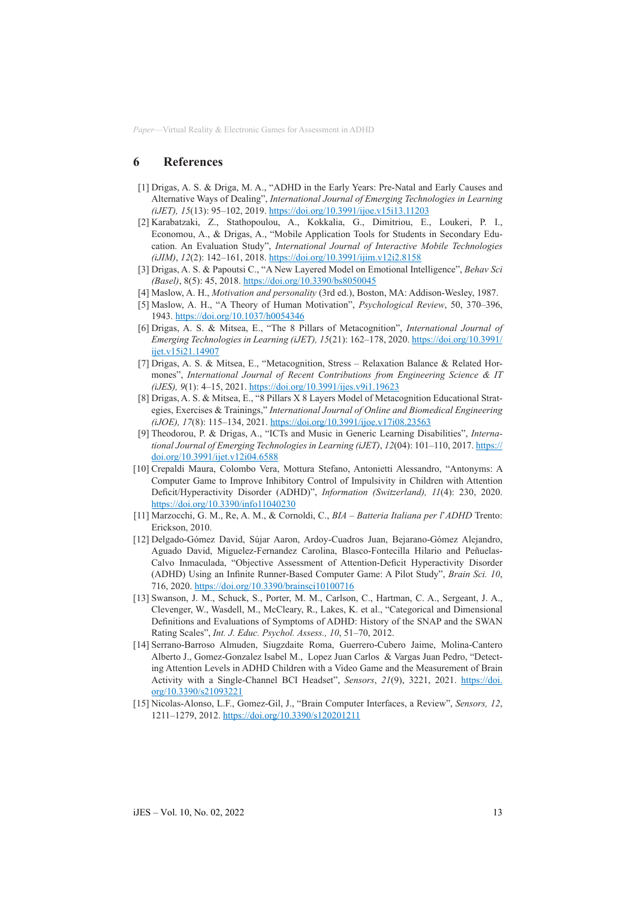#### **6 References**

- [1] Drigas, A. S. & Driga, M. A., "ADHD in the Early Years: Pre-Natal and Early Causes and Alternative Ways of Dealing", *International Journal of Emerging Technologies in Learning (iJET), 15*(13): 95–102, 2019. <https://doi.org/10.3991/ijoe.v15i13.11203>
- [2] Karabatzaki, Z., Stathopoulou, A., Kokkalia, G., Dimitriou, E., Loukeri, P. I., Economou, A., & Drigas, A., "Mobile Application Tools for Students in Secondary Education. An Evaluation Study", *International Journal of Interactive Mobile Technologies (iJIM)*, *12*(2): 142–161, 2018. <https://doi.org/10.3991/ijim.v12i2.8158>
- [3] Drigas, A. S. & Papoutsi C., "A New Layered Model on Emotional Intelligence", *[Behav Sci](https://www.ncbi.nlm.nih.gov/pmc/articles/PMC5981239/)  [\(Basel\)](https://www.ncbi.nlm.nih.gov/pmc/articles/PMC5981239/)*, 8(5): 45, 2018. <https://doi.org/10.3390/bs8050045>
- [4] Maslow, A. H., *Motivation and personality* (3rd ed.), Boston, MA: Addison-Wesley, 1987.
- [5] Maslow, A. H., "A Theory of Human Motivation", *Psychological Review*, 50, 370–396, 1943.<https://doi.org/10.1037/h0054346>
- [6] Drigas, A. S. & Mitsea, E., "The 8 Pillars of Metacognition", *International Journal of Emerging Technologies in Learning (iJET), 15*(21): 162–178, 2020. [https://doi.org/10.3991/](https://doi.org/10.3991/ijet.v15i21.14907) [ijet.v15i21.14907](https://doi.org/10.3991/ijet.v15i21.14907)
- [7] Drigas, A. S. & Mitsea, E., "Metacognition, Stress Relaxation Balance & Related Hormones", *International Journal of Recent Contributions from Engineering Science & IT (iJES), 9*(1): 4–15, 2021.<https://doi.org/10.3991/ijes.v9i1.19623>
- [8] Drigas, A. S. & Mitsea, E., "8 Pillars X 8 Layers Model of Metacognition Educational Strategies, Exercises & Trainings," *International Journal of Online and Biomedical Engineering (iJOE), 17*(8): 115–134, 2021.<https://doi.org/10.3991/ijoe.v17i08.23563>
- [9] Theodorou, P. & Drigas, A., "ICTs and Music in Generic Learning Disabilities", *International Journal of Emerging Technologies in Learning (iJET)*, *12*(04): 101–110, 2017. [https://](https://doi.org/10.3991/ijet.v12i04.6588) [doi.org/10.3991/ijet.v12i04.6588](https://doi.org/10.3991/ijet.v12i04.6588)
- [10] Crepaldi Maura, Colombo Vera, Mottura Stefano, Antonietti Alessandro, "Antonyms: A Computer Game to Improve Inhibitory Control of Impulsivity in Children with Attention Deficit/Hyperactivity Disorder (ADHD)", *Information (Switzerland), 11*(4): 230, 2020. <https://doi.org/10.3390/info11040230>
- [11] Marzocchi, G. M., Re, A. M., & Cornoldi, C., *BIA Batteria Italiana per l*'*ADHD* Trento: Erickson, 2010.
- [12] Delgado-Gómez David, Sújar Aaron, Ardoy-Cuadros Juan, Bejarano-Gómez Alejandro, Aguado David, Miguelez-Fernandez Carolina, Blasco-Fontecilla Hilario and Peñuelas-Calvo Inmaculada, "Objective Assessment of Attention-Deficit Hyperactivity Disorder (ADHD) Using an Infinite Runner-Based Computer Game: A Pilot Study", *Brain Sci. 10*, 716, 2020.<https://doi.org/10.3390/brainsci10100716>
- [13] Swanson, J. M., Schuck, S., Porter, M. M., Carlson, C., Hartman, C. A., Sergeant, J. A., Clevenger, W., Wasdell, M., McCleary, R., Lakes, K. et al., "Categorical and Dimensional Definitions and Evaluations of Symptoms of ADHD: History of the SNAP and the SWAN Rating Scales", *Int. J. Educ. Psychol. Assess., 10*, 51–70, 2012.
- [14] Serrano-Barroso [Almuden,](https://sciprofiles.com/profile/author/V2pFR0FYZWxtWmFveENmSlpmbVJUdz09) Siugzdaite [Roma, G](https://sciprofiles.com/profile/author/WUZMZjE0bXYyUkczbUtScHBtVzNkOFA5OGp2Zi8vcWZGUSs0bzJ5TjlsRT0=)uerrero-Cubero [Jaime,](https://sciprofiles.com/profile/author/UlpTL0tNZC8zRUk2cDQvZ1h0RUJmK05sbmNSNGtvL3N3RXNZRy95T1pSaz0=) Molina-Cantero [Alberto J.,](https://sciprofiles.com/profile/278927) Gomez-Gonzalez [Isabel M.,](https://sciprofiles.com/profile/93473) Lopez [Juan Carlos](https://sciprofiles.com/profile/1712955) & Vargas [Juan Pedro,](https://sciprofiles.com/profile/1517123) "Detecting Attention Levels in ADHD Children with a Video Game and the Measurement of Brain Activity with a Single-Channel BCI Headset", *Sensors*, *21*(9), 3221, 2021. [https://doi.](https://doi.org/10.3390/s21093221) [org/10.3390/s21093221](https://doi.org/10.3390/s21093221)
- [15] Nicolas-Alonso, L.F., Gomez-Gil, J., "Brain Computer Interfaces, a Review", *Sensors, 12*, 1211–1279, 2012. <https://doi.org/10.3390/s120201211>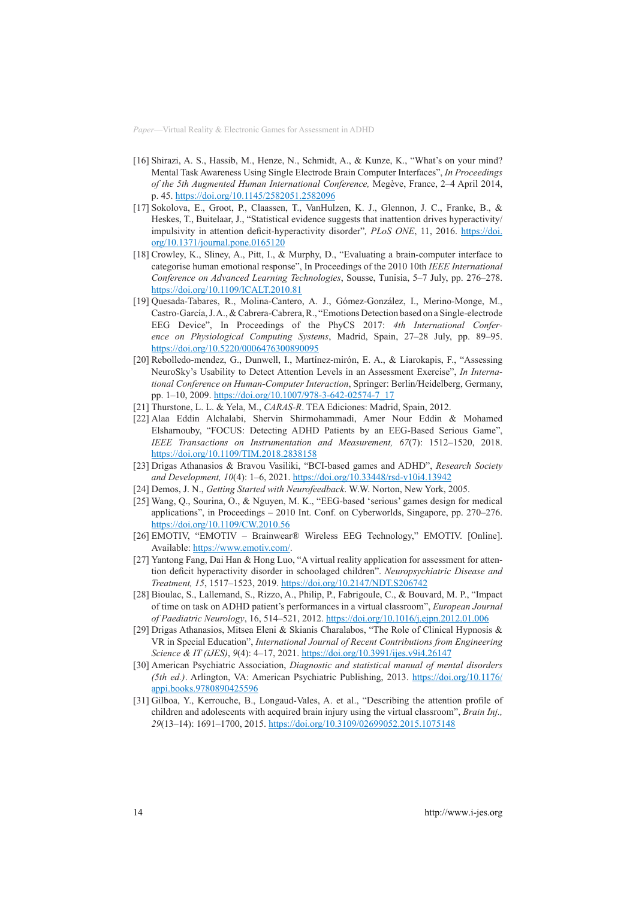- [16] Shirazi, A. S., Hassib, M., Henze, N., Schmidt, A., & Kunze, K., "What's on your mind? Mental Task Awareness Using Single Electrode Brain Computer Interfaces", *In Proceedings of the 5th Augmented Human International Conference,* Megève, France, 2–4 April 2014, p. 45.<https://doi.org/10.1145/2582051.2582096>
- [17] Sokolova, E., Groot, P., Claassen, T., VanHulzen, K. J., Glennon, J. C., Franke, B., & Heskes, T., Buitelaar, J., "Statistical evidence suggests that inattention drives hyperactivity/ impulsivity in attention deficit-hyperactivity disorder"*, PLoS ONE*, 11, 2016. [https://doi.](https://doi.org/10.1371/journal.pone.0165120) [org/10.1371/journal.pone.0165120](https://doi.org/10.1371/journal.pone.0165120)
- [18] Crowley, K., Sliney, A., Pitt, I., & Murphy, D., "Evaluating a brain-computer interface to categorise human emotional response", In Proceedings of the 2010 10th *IEEE International Conference on Advanced Learning Technologies*, Sousse, Tunisia, 5–7 July, pp. 276–278. <https://doi.org/10.1109/ICALT.2010.81>
- [19] Quesada-Tabares, R., Molina-Cantero, A. J., Gómez-González, I., Merino-Monge, M., Castro-García, J. A., & Cabrera-Cabrera, R., "Emotions Detection based on a Single-electrode EEG Device", In Proceedings of the PhyCS 2017: *4th International Conference on Physiological Computing Systems*, Madrid, Spain, 27–28 July, pp. 89–95. <https://doi.org/10.5220/0006476300890095>
- [20] Rebolledo-mendez, G., Dunwell, I., Martínez-mirón, E. A., & Liarokapis, F., "Assessing NeuroSky's Usability to Detect Attention Levels in an Assessment Exercise", *In International Conference on Human-Computer Interaction*, Springer: Berlin/Heidelberg, Germany, pp. 1–10, 2009. [https://doi.org/10.1007/978-3-642-02574-7\\_17](https://doi.org/10.1007/978-3-642-02574-7_17)
- [21] Thurstone, L. L. & Yela, M., *CARAS-R*. TEA Ediciones: Madrid, Spain, 2012.
- [22] Alaa Eddin Alchalabi, Shervin Shirmohammadi, Amer Nour Eddin & Mohamed Elsharnouby, "FOCUS: Detecting ADHD Patients by an EEG-Based Serious Game", *[IEEE Transactions on Instrumentation and Measurement,](https://ieeexplore.ieee.org/xpl/RecentIssue.jsp?punumber=19) 67*(7): 1512–1520, 2018. <https://doi.org/10.1109/TIM.2018.2838158>
- [23] Drigas Athanasios & Bravou Vasiliki, "BCI-based games and ADHD", *Research Society and Development, 10*(4): 1–6, 2021.<https://doi.org/10.33448/rsd-v10i4.13942>
- [24] Demos, J. N., *Getting Started with Neurofeedback*. W.W. Norton, New York, 2005.
- [25] Wang, Q., Sourina, O., & Nguyen, M. K., "EEG-based 'serious' games design for medical applications", in Proceedings – 2010 Int. Conf. on Cyberworlds, Singapore, pp. 270–276. <https://doi.org/10.1109/CW.2010.56>
- [26] EMOTIV, "EMOTIV Brainwear® Wireless EEG Technology," EMOTIV. [Online]. Available: [https://www.emotiv.com/.](http://https://www.emotiv.com/)
- [27] Yantong Fang, Dai Han & Hong Luo, "A virtual reality application for assessment for attention deficit hyperactivity disorder in schoolaged children". *Neuropsychiatric Disease and Treatment, 15*, 1517–1523, 2019.<https://doi.org/10.2147/NDT.S206742>
- [28] Bioulac, S., Lallemand, S., Rizzo, A., Philip, P., Fabrigoule, C., & Bouvard, M. P., "Impact of time on task on ADHD patient's performances in a virtual classroom", *European Journal of Paediatric Neurology*, 16, 514–521, 2012.<https://doi.org/10.1016/j.ejpn.2012.01.006>
- [29] Drigas Athanasios, Mitsea Eleni & Skianis Charalabos, "The Role of Clinical Hypnosis & VR in Special Education", *International Journal of Recent Contributions from Engineering Science & IT (iJES)*, *9*(4): 4–17, 2021. <https://doi.org/10.3991/ijes.v9i4.26147>
- [30] American Psychiatric Association, *Diagnostic and statistical manual of mental disorders (5th ed.)*. Arlington, VA: American Psychiatric Publishing, 2013. [https://doi.org/10.1176/](https://doi.org/10.1176/appi.books.9780890425596) [appi.books.9780890425596](https://doi.org/10.1176/appi.books.9780890425596)
- [31] Gilboa, Y., Kerrouche, B., Longaud-Vales, A. et al., "Describing the attention profile of children and adolescents with acquired brain injury using the virtual classroom", *Brain Inj., 29*(13–14): 1691–1700, 2015.<https://doi.org/10.3109/02699052.2015.1075148>